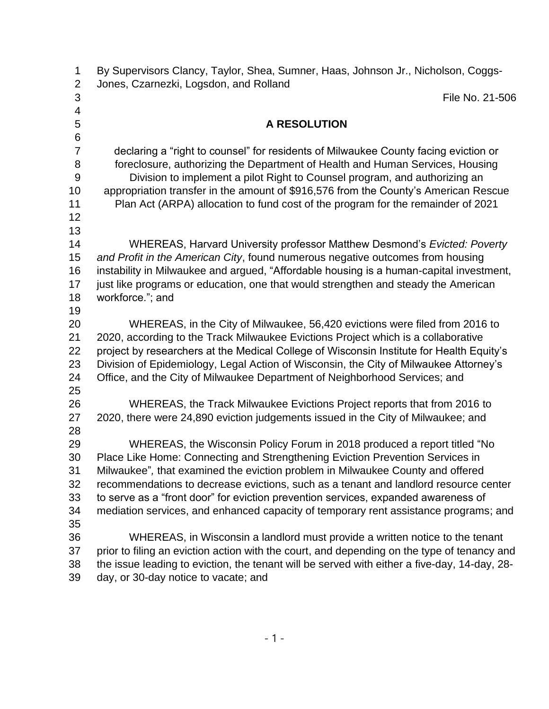| 1                   | By Supervisors Clancy, Taylor, Shea, Sumner, Haas, Johnson Jr., Nicholson, Coggs-            |
|---------------------|----------------------------------------------------------------------------------------------|
| $\overline{2}$<br>3 | Jones, Czarnezki, Logsdon, and Rolland<br>File No. 21-506                                    |
| 4                   |                                                                                              |
| 5                   | <b>A RESOLUTION</b>                                                                          |
| 6                   |                                                                                              |
| $\overline{7}$      | declaring a "right to counsel" for residents of Milwaukee County facing eviction or          |
| 8                   | foreclosure, authorizing the Department of Health and Human Services, Housing                |
| 9                   | Division to implement a pilot Right to Counsel program, and authorizing an                   |
| 10                  | appropriation transfer in the amount of \$916,576 from the County's American Rescue          |
| 11<br>12            | Plan Act (ARPA) allocation to fund cost of the program for the remainder of 2021             |
| 13                  |                                                                                              |
| 14                  | WHEREAS, Harvard University professor Matthew Desmond's Evicted: Poverty                     |
| 15                  | and Profit in the American City, found numerous negative outcomes from housing               |
| 16                  | instability in Milwaukee and argued, "Affordable housing is a human-capital investment,      |
| 17                  | just like programs or education, one that would strengthen and steady the American           |
| 18                  | workforce."; and                                                                             |
| 19                  |                                                                                              |
| 20                  | WHEREAS, in the City of Milwaukee, 56,420 evictions were filed from 2016 to                  |
| 21                  | 2020, according to the Track Milwaukee Evictions Project which is a collaborative            |
| 22                  | project by researchers at the Medical College of Wisconsin Institute for Health Equity's     |
| 23                  | Division of Epidemiology, Legal Action of Wisconsin, the City of Milwaukee Attorney's        |
| 24<br>25            | Office, and the City of Milwaukee Department of Neighborhood Services; and                   |
| 26                  | WHEREAS, the Track Milwaukee Evictions Project reports that from 2016 to                     |
| 27                  | 2020, there were 24,890 eviction judgements issued in the City of Milwaukee; and             |
| 28                  |                                                                                              |
| 29                  | WHEREAS, the Wisconsin Policy Forum in 2018 produced a report titled "No                     |
| 30                  | Place Like Home: Connecting and Strengthening Eviction Prevention Services in                |
| 31                  | Milwaukee", that examined the eviction problem in Milwaukee County and offered               |
| 32                  | recommendations to decrease evictions, such as a tenant and landlord resource center         |
| 33                  | to serve as a "front door" for eviction prevention services, expanded awareness of           |
| 34<br>35            | mediation services, and enhanced capacity of temporary rent assistance programs; and         |
| 36                  | WHEREAS, in Wisconsin a landlord must provide a written notice to the tenant                 |
| 37                  | prior to filing an eviction action with the court, and depending on the type of tenancy and  |
| 38                  | the issue leading to eviction, the tenant will be served with either a five-day, 14-day, 28- |
| 39                  | day, or 30-day notice to vacate; and                                                         |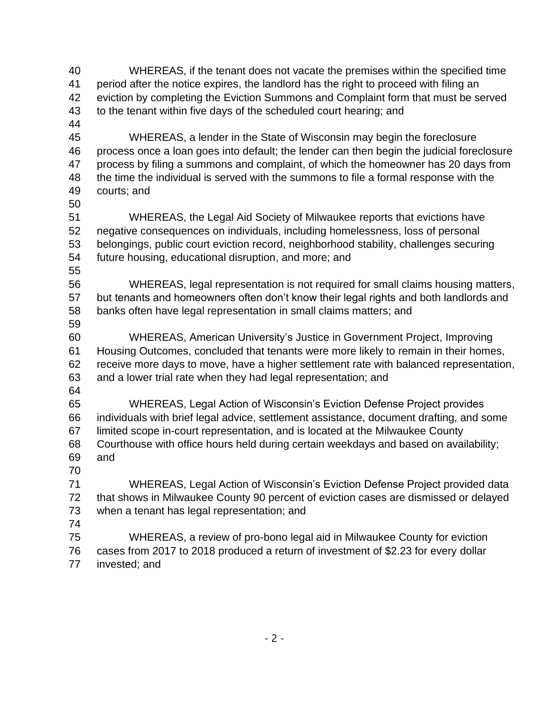WHEREAS, if the tenant does not vacate the premises within the specified time period after the notice expires, the landlord has the right to proceed with filing an eviction by completing the Eviction Summons and Complaint form that must be served to the tenant within five days of the scheduled court hearing; and WHEREAS, a lender in the State of Wisconsin may begin the foreclosure process once a loan goes into default; the lender can then begin the judicial foreclosure process by filing a summons and complaint, of which the homeowner has 20 days from the time the individual is served with the summons to file a formal response with the courts; and WHEREAS, the Legal Aid Society of Milwaukee reports that evictions have negative consequences on individuals, including homelessness, loss of personal belongings, public court eviction record, neighborhood stability, challenges securing future housing, educational disruption, and more; and WHEREAS, legal representation is not required for small claims housing matters, but tenants and homeowners often don't know their legal rights and both landlords and banks often have legal representation in small claims matters; and WHEREAS, American University's Justice in Government Project, Improving Housing Outcomes, concluded that tenants were more likely to remain in their homes, receive more days to move, have a higher settlement rate with balanced representation, and a lower trial rate when they had legal representation; and WHEREAS, Legal Action of Wisconsin's Eviction Defense Project provides individuals with brief legal advice, settlement assistance, document drafting, and some limited scope in-court representation, and is located at the Milwaukee County Courthouse with office hours held during certain weekdays and based on availability; and WHEREAS, Legal Action of Wisconsin's Eviction Defense Project provided data that shows in Milwaukee County 90 percent of eviction cases are dismissed or delayed when a tenant has legal representation; and WHEREAS, a review of pro-bono legal aid in Milwaukee County for eviction cases from 2017 to 2018 produced a return of investment of \$2.23 for every dollar invested; and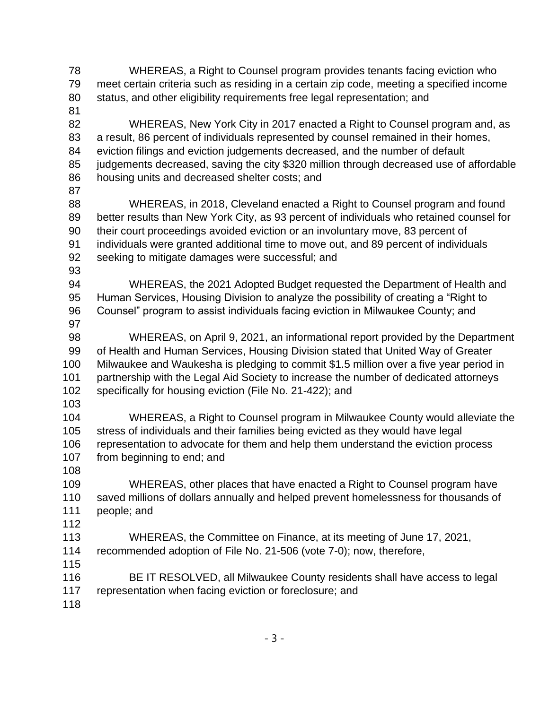WHEREAS, a Right to Counsel program provides tenants facing eviction who meet certain criteria such as residing in a certain zip code, meeting a specified income status, and other eligibility requirements free legal representation; and WHEREAS, New York City in 2017 enacted a Right to Counsel program and, as a result, 86 percent of individuals represented by counsel remained in their homes, eviction filings and eviction judgements decreased, and the number of default judgements decreased, saving the city \$320 million through decreased use of affordable housing units and decreased shelter costs; and WHEREAS, in 2018, Cleveland enacted a Right to Counsel program and found better results than New York City, as 93 percent of individuals who retained counsel for their court proceedings avoided eviction or an involuntary move, 83 percent of individuals were granted additional time to move out, and 89 percent of individuals seeking to mitigate damages were successful; and WHEREAS, the 2021 Adopted Budget requested the Department of Health and Human Services, Housing Division to analyze the possibility of creating a "Right to Counsel" program to assist individuals facing eviction in Milwaukee County; and WHEREAS, on April 9, 2021, an informational report provided by the Department of Health and Human Services, Housing Division stated that United Way of Greater Milwaukee and Waukesha is pledging to commit \$1.5 million over a five year period in partnership with the Legal Aid Society to increase the number of dedicated attorneys specifically for housing eviction (File No. 21-422); and WHEREAS, a Right to Counsel program in Milwaukee County would alleviate the stress of individuals and their families being evicted as they would have legal representation to advocate for them and help them understand the eviction process from beginning to end; and WHEREAS, other places that have enacted a Right to Counsel program have saved millions of dollars annually and helped prevent homelessness for thousands of people; and WHEREAS, the Committee on Finance, at its meeting of June 17, 2021, recommended adoption of File No. 21-506 (vote 7-0); now, therefore, BE IT RESOLVED, all Milwaukee County residents shall have access to legal representation when facing eviction or foreclosure; and